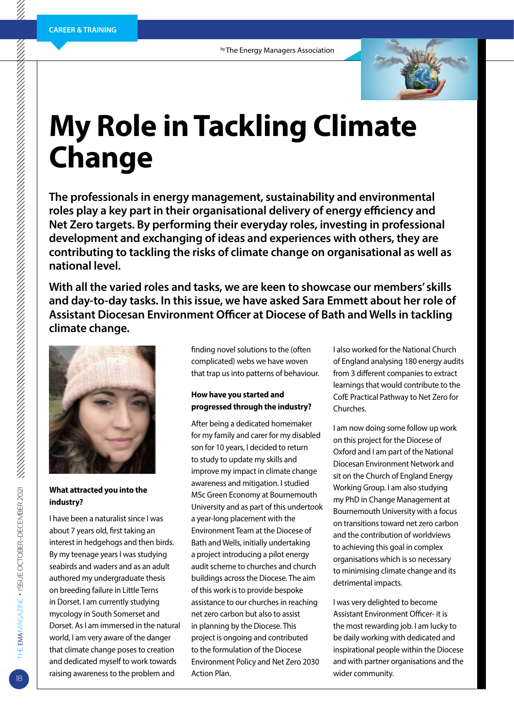

# **My Role in Tackling Climate Change**

**The professionals in energy management, sustainability and environmental roles play a key part in their organisational delivery of energy efficiency and Net Zero targets. By performing their everyday roles, investing in professional development and exchanging of ideas and experiences with others, they are contributing to tackling the risks of climate change on organisational as well as national level.** 

**With all the varied roles and tasks, we are keen to showcase our members' skills and day-to-day tasks. In this issue, we have asked Sara Emmett about her role of Assistant Diocesan Environment Officer at Diocese of Bath and Wells in tackling climate change.**



**What attracted you into the industry?**

I have been a naturalist since I was about 7 years old, first taking an interest in hedgehogs and then birds. By my teenage years I was studying seabirds and waders and as an adult authored my undergraduate thesis on breeding failure in Little Terns in Dorset. I am currently studying mycology in South Somerset and Dorset. As I am immersed in the natural world, I am very aware of the danger that climate change poses to creation and dedicated myself to work towards raising awareness to the problem and

finding novel solutions to the (often complicated) webs we have woven that trap us into patterns of behaviour.

#### **How have you started and progressed through the industry?**

After being a dedicated homemaker for my family and carer for my disabled son for 10 years, I decided to return to study to update my skills and improve my impact in climate change awareness and mitigation. I studied MSc Green Economy at Bournemouth University and as part of this undertook a year-long placement with the Environment Team at the Diocese of Bath and Wells, initially undertaking a project introducing a pilot energy audit scheme to churches and church buildings across the Diocese. The aim of this work is to provide bespoke assistance to our churches in reaching net zero carbon but also to assist in planning by the Diocese. This project is ongoing and contributed to the formulation of the Diocese Environment Policy and Net Zero 2030 Action Plan.

I also worked for the National Church of England analysing 180 energy audits from 3 different companies to extract learnings that would contribute to the CofE Practical Pathway to Net Zero for Churches.

I am now doing some follow up work on this project for the Diocese of Oxford and I am part of the National Diocesan Environment Network and sit on the Church of England Energy Working Group. I am also studying my PhD in Change Management at Bournemouth University with a focus on transitions toward net zero carbon and the contribution of worldviews to achieving this goal in complex organisations which is so necessary to minimising climate change and its detrimental impacts.

I was very delighted to become Assistant Environment Officer- it is the most rewarding job. I am lucky to be daily working with dedicated and inspirational people within the Diocese and with partner organisations and the wider community.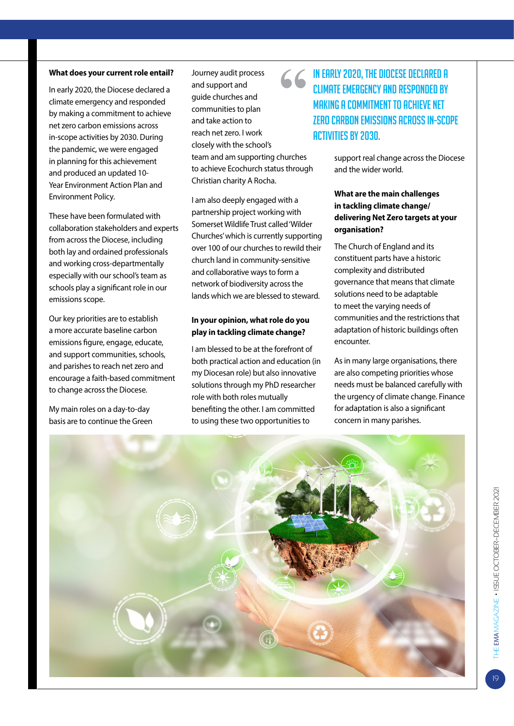#### **What does your current role entail?**

In early 2020, the Diocese declared a climate emergency and responded by making a commitment to achieve net zero carbon emissions across in-scope activities by 2030. During the pandemic, we were engaged in planning for this achievement and produced an updated 10- Year Environment Action Plan and Environment Policy.

These have been formulated with collaboration stakeholders and experts from across the Diocese, including both lay and ordained professionals and working cross-departmentally especially with our school's team as schools play a significant role in our emissions scope.

Our key priorities are to establish a more accurate baseline carbon emissions figure, engage, educate, and support communities, schools, and parishes to reach net zero and encourage a faith-based commitment to change across the Diocese.

My main roles on a day-to-day basis are to continue the Green Journey audit process and support and guide churches and communities to plan and take action to reach net zero. I work closely with the school's team and am supporting churches to achieve Ecochurch status through Christian charity A Rocha.

I am also deeply engaged with a partnership project working with Somerset Wildlife Trust called 'Wilder Churches' which is currently supporting over 100 of our churches to rewild their church land in community-sensitive and collaborative ways to form a network of biodiversity across the lands which we are blessed to steward.

#### **In your opinion, what role do you play in tackling climate change?**

I am blessed to be at the forefront of both practical action and education (in my Diocesan role) but also innovative solutions through my PhD researcher role with both roles mutually benefiting the other. I am committed to using these two opportunities to

## **"**In early 2020, the Diocese declared a climate emergency and responded by making a commitment to achieve net zero carbon emissions across in-scope activities by 2030.

support real change across the Diocese and the wider world.

#### **What are the main challenges in tackling climate change/ delivering Net Zero targets at your organisation?**

The Church of England and its constituent parts have a historic complexity and distributed governance that means that climate solutions need to be adaptable to meet the varying needs of communities and the restrictions that adaptation of historic buildings often encounter.

As in many large organisations, there are also competing priorities whose needs must be balanced carefully with the urgency of climate change. Finance for adaptation is also a significant concern in many parishes.